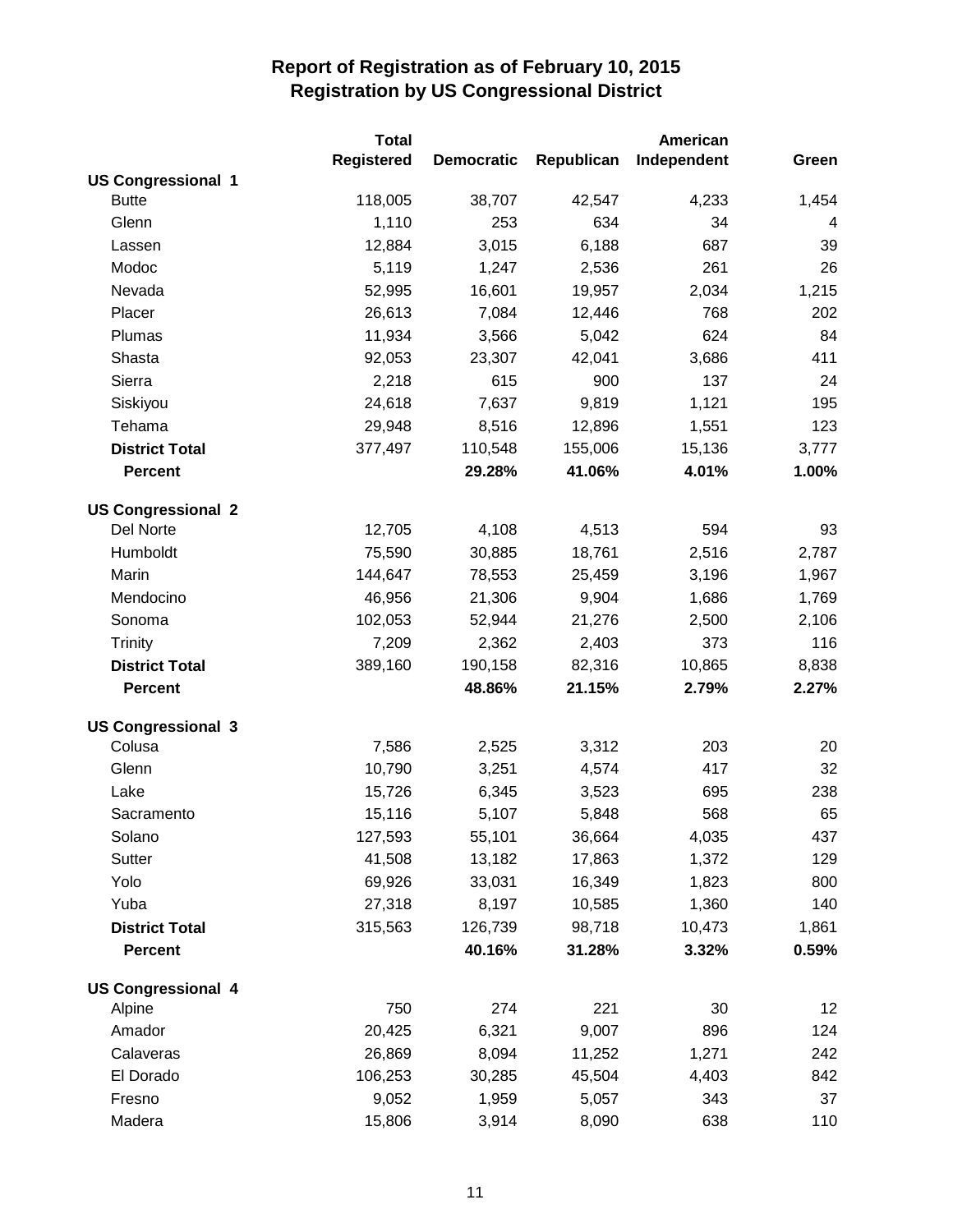|                           | <b>Total</b>      |                   |            | American    |       |
|---------------------------|-------------------|-------------------|------------|-------------|-------|
|                           | <b>Registered</b> | <b>Democratic</b> | Republican | Independent | Green |
| <b>US Congressional 1</b> |                   |                   |            |             |       |
| <b>Butte</b>              | 118,005           | 38,707            | 42,547     | 4,233       | 1,454 |
| Glenn                     | 1,110             | 253               | 634        | 34          | 4     |
| Lassen                    | 12,884            | 3,015             | 6,188      | 687         | 39    |
| Modoc                     | 5,119             | 1,247             | 2,536      | 261         | 26    |
| Nevada                    | 52,995            | 16,601            | 19,957     | 2,034       | 1,215 |
| Placer                    | 26,613            | 7,084             | 12,446     | 768         | 202   |
| Plumas                    | 11,934            | 3,566             | 5,042      | 624         | 84    |
| Shasta                    | 92,053            | 23,307            | 42,041     | 3,686       | 411   |
| Sierra                    | 2,218             | 615               | 900        | 137         | 24    |
| Siskiyou                  | 24,618            | 7,637             | 9,819      | 1,121       | 195   |
| Tehama                    | 29,948            | 8,516             | 12,896     | 1,551       | 123   |
| <b>District Total</b>     | 377,497           | 110,548           | 155,006    | 15,136      | 3,777 |
| <b>Percent</b>            |                   | 29.28%            | 41.06%     | 4.01%       | 1.00% |
| <b>US Congressional 2</b> |                   |                   |            |             |       |
| Del Norte                 | 12,705            | 4,108             | 4,513      | 594         | 93    |
| Humboldt                  | 75,590            | 30,885            | 18,761     | 2,516       | 2,787 |
| Marin                     | 144,647           | 78,553            | 25,459     | 3,196       | 1,967 |
| Mendocino                 | 46,956            | 21,306            | 9,904      | 1,686       | 1,769 |
| Sonoma                    | 102,053           | 52,944            | 21,276     | 2,500       | 2,106 |
| <b>Trinity</b>            | 7,209             | 2,362             | 2,403      | 373         | 116   |
| <b>District Total</b>     | 389,160           | 190,158           | 82,316     | 10,865      | 8,838 |
| <b>Percent</b>            |                   | 48.86%            | 21.15%     | 2.79%       | 2.27% |
| <b>US Congressional 3</b> |                   |                   |            |             |       |
| Colusa                    | 7,586             | 2,525             | 3,312      | 203         | 20    |
| Glenn                     | 10,790            | 3,251             | 4,574      | 417         | 32    |
| Lake                      | 15,726            | 6,345             | 3,523      | 695         | 238   |
| Sacramento                | 15,116            | 5,107             | 5,848      | 568         | 65    |
| Solano                    | 127,593           | 55,101            | 36,664     | 4,035       | 437   |
| Sutter                    | 41,508            | 13,182            | 17,863     | 1,372       | 129   |
| Yolo                      | 69,926            | 33,031            | 16,349     | 1,823       | 800   |
| Yuba                      | 27,318            | 8,197             | 10,585     | 1,360       | 140   |
| <b>District Total</b>     | 315,563           | 126,739           | 98,718     | 10,473      | 1,861 |
| <b>Percent</b>            |                   | 40.16%            | 31.28%     | 3.32%       | 0.59% |
| <b>US Congressional 4</b> |                   |                   |            |             |       |
| Alpine                    | 750               | 274               | 221        | 30          | 12    |
| Amador                    | 20,425            | 6,321             | 9,007      | 896         | 124   |
| Calaveras                 | 26,869            | 8,094             | 11,252     | 1,271       | 242   |
| El Dorado                 | 106,253           | 30,285            | 45,504     | 4,403       | 842   |
| Fresno                    | 9,052             | 1,959             | 5,057      | 343         | 37    |
| Madera                    | 15,806            | 3,914             | 8,090      | 638         | 110   |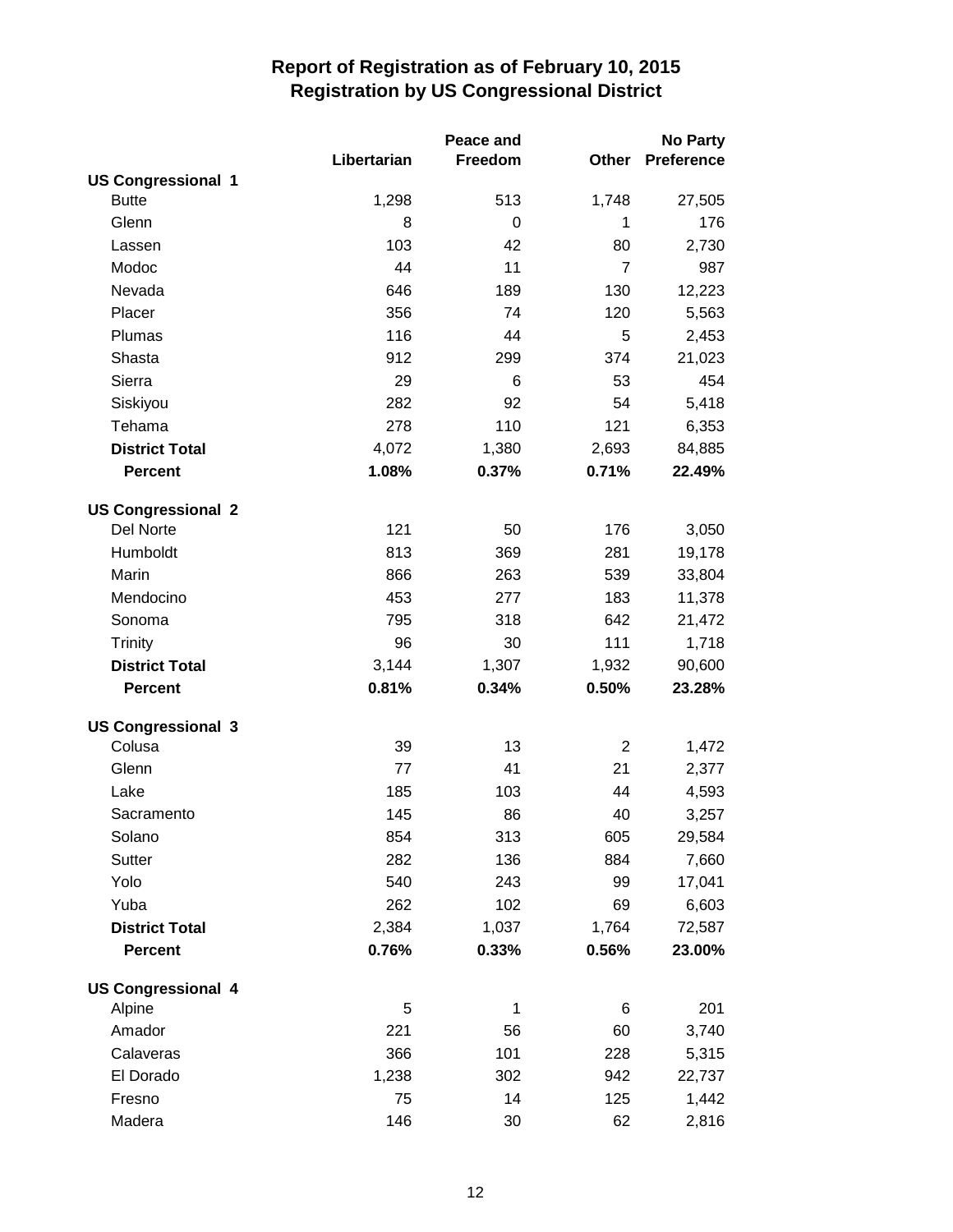|                           |             | Peace and |                | <b>No Party</b>   |
|---------------------------|-------------|-----------|----------------|-------------------|
|                           | Libertarian | Freedom   | Other          | <b>Preference</b> |
| <b>US Congressional 1</b> |             |           |                |                   |
| <b>Butte</b>              | 1,298       | 513       | 1,748          | 27,505            |
| Glenn                     | 8           | $\Omega$  | 1              | 176               |
| Lassen                    | 103         | 42        | 80             | 2,730             |
| Modoc                     | 44          | 11        | $\overline{7}$ | 987               |
| Nevada                    | 646         | 189       | 130            | 12,223            |
| Placer                    | 356         | 74        | 120            | 5,563             |
| Plumas                    | 116         | 44        | 5              | 2,453             |
| Shasta                    | 912         | 299       | 374            | 21,023            |
| Sierra                    | 29          | 6         | 53             | 454               |
| Siskiyou                  | 282         | 92        | 54             | 5,418             |
| Tehama                    | 278         | 110       | 121            | 6,353             |
| <b>District Total</b>     | 4,072       | 1,380     | 2,693          | 84,885            |
| <b>Percent</b>            | 1.08%       | 0.37%     | 0.71%          | 22.49%            |
| <b>US Congressional 2</b> |             |           |                |                   |
| Del Norte                 | 121         | 50        | 176            | 3,050             |
| Humboldt                  | 813         | 369       | 281            | 19,178            |
| Marin                     | 866         | 263       | 539            | 33,804            |
| Mendocino                 | 453         | 277       | 183            | 11,378            |
| Sonoma                    | 795         | 318       | 642            | 21,472            |
| Trinity                   | 96          | 30        | 111            | 1,718             |
| <b>District Total</b>     | 3,144       | 1,307     | 1,932          | 90,600            |
| <b>Percent</b>            | 0.81%       | 0.34%     | 0.50%          | 23.28%            |
| <b>US Congressional 3</b> |             |           |                |                   |
| Colusa                    | 39          | 13        | $\overline{2}$ | 1,472             |
| Glenn                     | 77          | 41        | 21             | 2,377             |
| Lake                      | 185         | 103       | 44             | 4,593             |
| Sacramento                | 145         | 86        | 40             | 3,257             |
| Solano                    | 854         | 313       | 605            | 29,584            |
| Sutter                    | 282         | 136       | 884            | 7,660             |
| Yolo                      | 540         | 243       | 99             | 17,041            |
| Yuba                      | 262         | 102       | 69             | 6,603             |
| <b>District Total</b>     | 2,384       | 1,037     | 1,764          | 72,587            |
| <b>Percent</b>            | 0.76%       | 0.33%     | 0.56%          | 23.00%            |
| <b>US Congressional 4</b> |             |           |                |                   |
| Alpine                    | 5           | 1         | 6              | 201               |
| Amador                    | 221         | 56        | 60             | 3,740             |
| Calaveras                 | 366         | 101       | 228            | 5,315             |
| El Dorado                 | 1,238       | 302       | 942            | 22,737            |
| Fresno                    | 75          | 14        | 125            | 1,442             |
| Madera                    | 146         | 30        | 62             | 2,816             |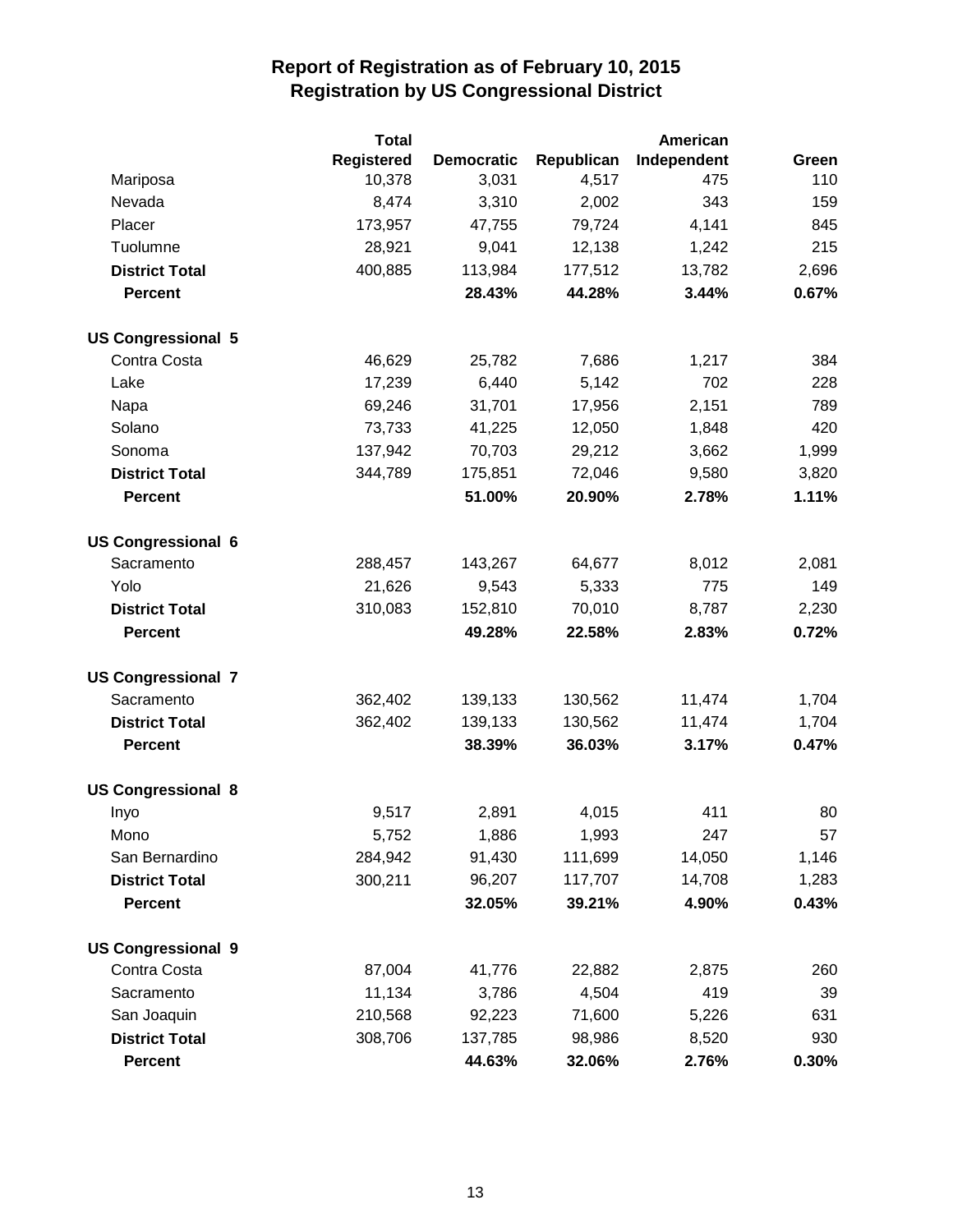|                           | <b>Total</b>      |                   |            | American    |       |
|---------------------------|-------------------|-------------------|------------|-------------|-------|
|                           | <b>Registered</b> | <b>Democratic</b> | Republican | Independent | Green |
| Mariposa                  | 10,378            | 3,031             | 4,517      | 475         | 110   |
| Nevada                    | 8,474             | 3,310             | 2,002      | 343         | 159   |
| Placer                    | 173,957           | 47,755            | 79,724     | 4,141       | 845   |
| Tuolumne                  | 28,921            | 9,041             | 12,138     | 1,242       | 215   |
| <b>District Total</b>     | 400,885           | 113,984           | 177,512    | 13,782      | 2,696 |
| <b>Percent</b>            |                   | 28.43%            | 44.28%     | 3.44%       | 0.67% |
| <b>US Congressional 5</b> |                   |                   |            |             |       |
| Contra Costa              | 46,629            | 25,782            | 7,686      | 1,217       | 384   |
| Lake                      | 17,239            | 6,440             | 5,142      | 702         | 228   |
| Napa                      | 69,246            | 31,701            | 17,956     | 2,151       | 789   |
| Solano                    | 73,733            | 41,225            | 12,050     | 1,848       | 420   |
| Sonoma                    | 137,942           | 70,703            | 29,212     | 3,662       | 1,999 |
| <b>District Total</b>     | 344,789           | 175,851           | 72,046     | 9,580       | 3,820 |
| <b>Percent</b>            |                   | 51.00%            | 20.90%     | 2.78%       | 1.11% |
| <b>US Congressional 6</b> |                   |                   |            |             |       |
| Sacramento                | 288,457           | 143,267           | 64,677     | 8,012       | 2,081 |
| Yolo                      | 21,626            | 9,543             | 5,333      | 775         | 149   |
| <b>District Total</b>     | 310,083           | 152,810           | 70,010     | 8,787       | 2,230 |
| <b>Percent</b>            |                   | 49.28%            | 22.58%     | 2.83%       | 0.72% |
| <b>US Congressional 7</b> |                   |                   |            |             |       |
| Sacramento                | 362,402           | 139,133           | 130,562    | 11,474      | 1,704 |
| <b>District Total</b>     | 362,402           | 139,133           | 130,562    | 11,474      | 1,704 |
| <b>Percent</b>            |                   | 38.39%            | 36.03%     | 3.17%       | 0.47% |
| <b>US Congressional 8</b> |                   |                   |            |             |       |
| Inyo                      | 9,517             | 2,891             | 4,015      | 411         | 80    |
| Mono                      | 5,752             | 1,886             | 1,993      | 247         | 57    |
| San Bernardino            | 284,942           | 91,430            | 111,699    | 14,050      | 1,146 |
| <b>District Total</b>     | 300,211           | 96,207            | 117,707    | 14,708      | 1,283 |
| <b>Percent</b>            |                   | 32.05%            | 39.21%     | 4.90%       | 0.43% |
| <b>US Congressional 9</b> |                   |                   |            |             |       |
| Contra Costa              | 87,004            | 41,776            | 22,882     | 2,875       | 260   |
| Sacramento                | 11,134            | 3,786             | 4,504      | 419         | 39    |
| San Joaquin               | 210,568           | 92,223            | 71,600     | 5,226       | 631   |
| <b>District Total</b>     | 308,706           | 137,785           | 98,986     | 8,520       | 930   |
| <b>Percent</b>            |                   | 44.63%            | 32.06%     | 2.76%       | 0.30% |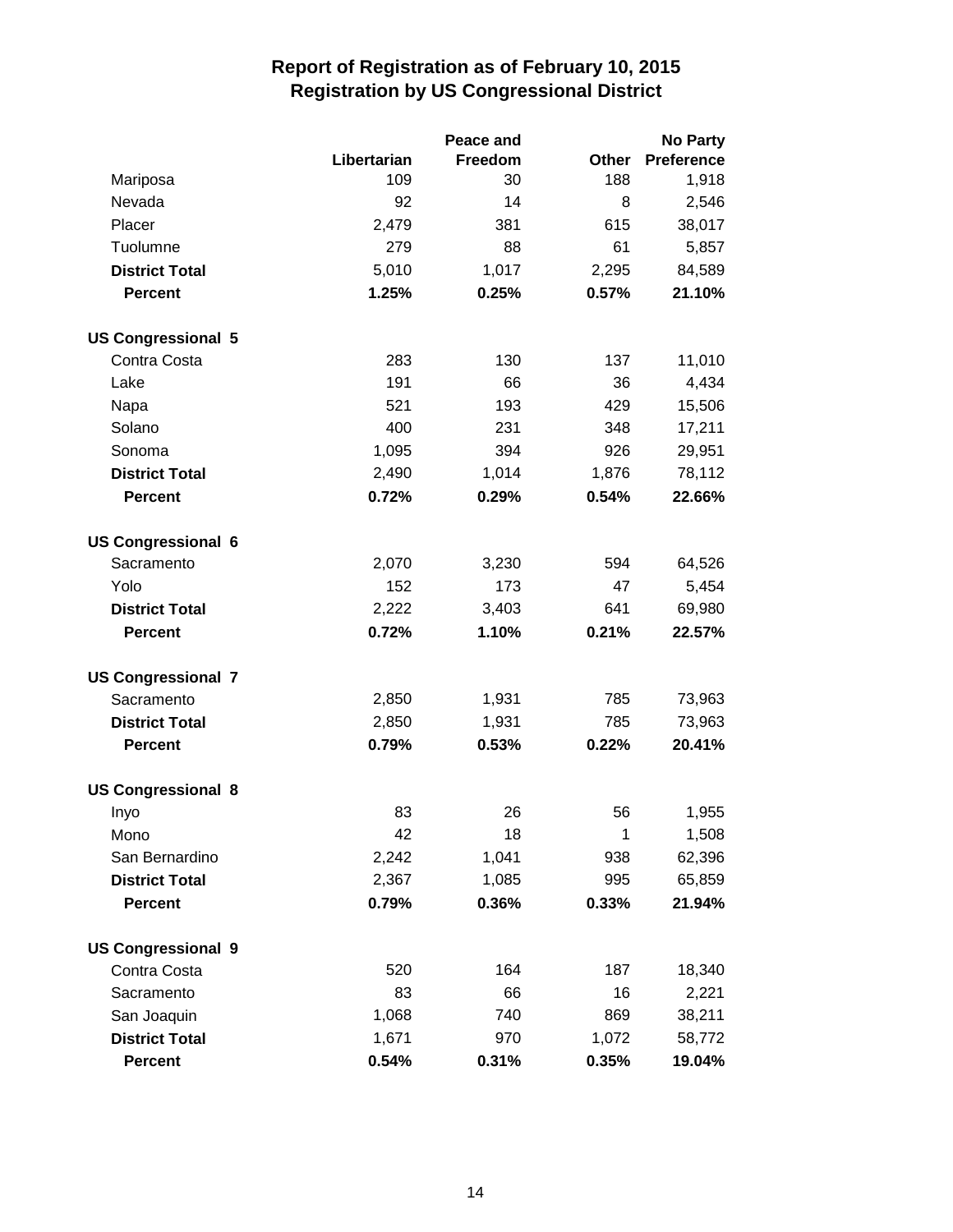|                           |             | Peace and | <b>No Party</b> |                   |  |
|---------------------------|-------------|-----------|-----------------|-------------------|--|
|                           | Libertarian | Freedom   | Other           | <b>Preference</b> |  |
| Mariposa                  | 109         | 30        | 188             | 1,918             |  |
| Nevada                    | 92          | 14        | 8               | 2,546             |  |
| Placer                    | 2,479       | 381       | 615             | 38,017            |  |
| Tuolumne                  | 279         | 88        | 61              | 5,857             |  |
| <b>District Total</b>     | 5,010       | 1,017     | 2,295           | 84,589            |  |
| <b>Percent</b>            | 1.25%       | 0.25%     | 0.57%           | 21.10%            |  |
| <b>US Congressional 5</b> |             |           |                 |                   |  |
| Contra Costa              | 283         | 130       | 137             | 11,010            |  |
| Lake                      | 191         | 66        | 36              | 4,434             |  |
| Napa                      | 521         | 193       | 429             | 15,506            |  |
| Solano                    | 400         | 231       | 348             | 17,211            |  |
| Sonoma                    | 1,095       | 394       | 926             | 29,951            |  |
| <b>District Total</b>     | 2,490       | 1,014     | 1,876           | 78,112            |  |
| <b>Percent</b>            | 0.72%       | 0.29%     | 0.54%           | 22.66%            |  |
| <b>US Congressional 6</b> |             |           |                 |                   |  |
| Sacramento                | 2,070       | 3,230     | 594             | 64,526            |  |
| Yolo                      | 152         | 173       | 47              | 5,454             |  |
| <b>District Total</b>     | 2,222       | 3,403     | 641             | 69,980            |  |
| <b>Percent</b>            | 0.72%       | 1.10%     | 0.21%           | 22.57%            |  |
| <b>US Congressional 7</b> |             |           |                 |                   |  |
| Sacramento                | 2,850       | 1,931     | 785             | 73,963            |  |
| <b>District Total</b>     | 2,850       | 1,931     | 785             | 73,963            |  |
| <b>Percent</b>            | 0.79%       | 0.53%     | 0.22%           | 20.41%            |  |
| <b>US Congressional 8</b> |             |           |                 |                   |  |
| Inyo                      | 83          | 26        | 56              | 1,955             |  |
| Mono                      | 42          | 18        | 1               | 1,508             |  |
| San Bernardino            | 2,242       | 1,041     | 938             | 62,396            |  |
| <b>District Total</b>     | 2,367       | 1,085     | 995             | 65,859            |  |
| <b>Percent</b>            | 0.79%       | 0.36%     | 0.33%           | 21.94%            |  |
| <b>US Congressional 9</b> |             |           |                 |                   |  |
| Contra Costa              | 520         | 164       | 187             | 18,340            |  |
| Sacramento                | 83          | 66        | 16              | 2,221             |  |
| San Joaquin               | 1,068       | 740       | 869             | 38,211            |  |
| <b>District Total</b>     | 1,671       | 970       | 1,072           | 58,772            |  |
| <b>Percent</b>            | 0.54%       | 0.31%     | 0.35%           | 19.04%            |  |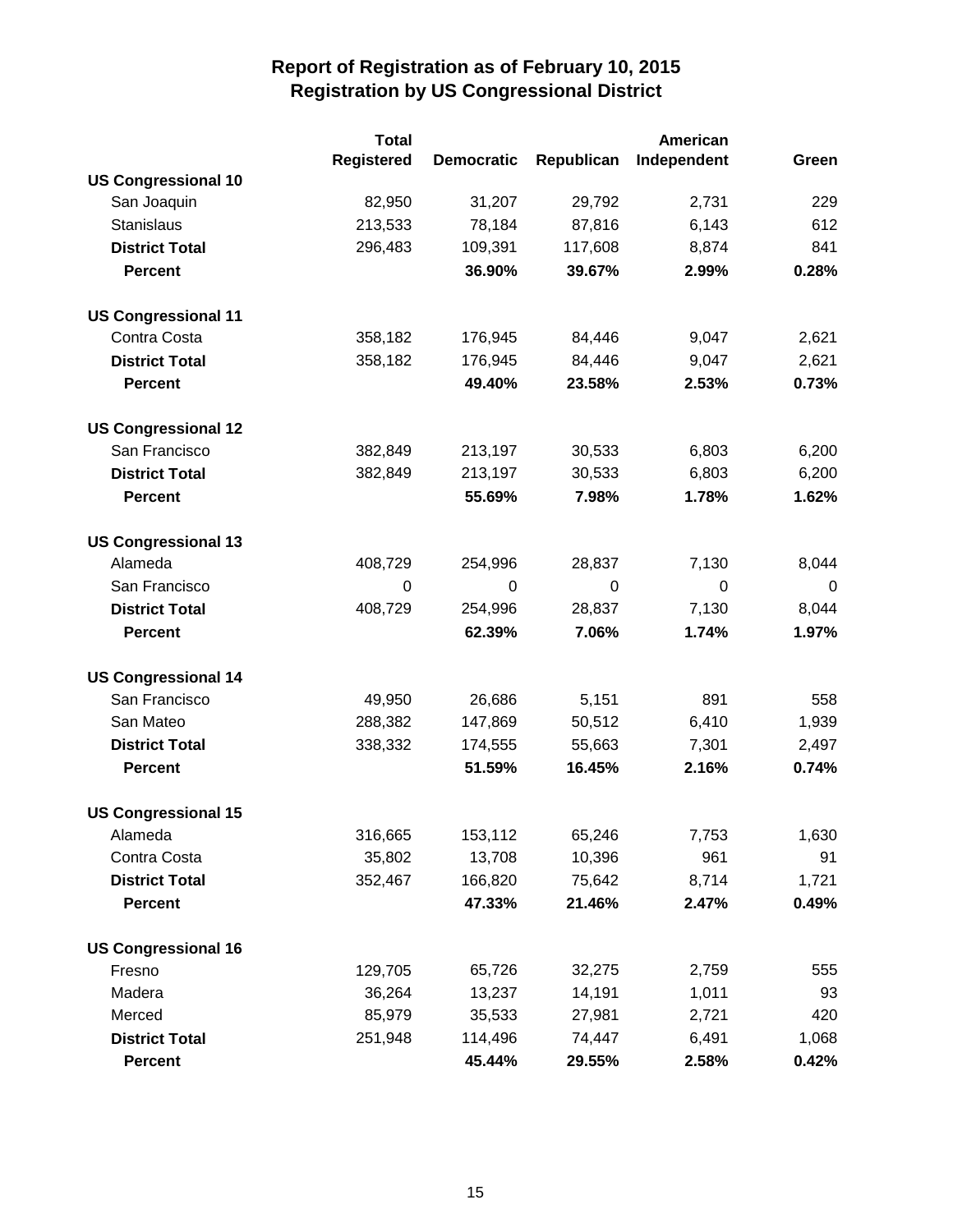|                            | <b>Total</b>      |                   |                  | American    |       |
|----------------------------|-------------------|-------------------|------------------|-------------|-------|
|                            | <b>Registered</b> | <b>Democratic</b> | Republican       | Independent | Green |
| <b>US Congressional 10</b> |                   |                   |                  |             |       |
| San Joaquin                | 82,950            | 31,207            | 29,792           | 2,731       | 229   |
| <b>Stanislaus</b>          | 213,533           | 78,184            | 87,816           | 6,143       | 612   |
| <b>District Total</b>      | 296,483           | 109,391           | 117,608          | 8,874       | 841   |
| <b>Percent</b>             |                   | 36.90%            | 39.67%           | 2.99%       | 0.28% |
| <b>US Congressional 11</b> |                   |                   |                  |             |       |
| Contra Costa               | 358,182           | 176,945           | 84,446           | 9,047       | 2,621 |
| <b>District Total</b>      | 358,182           | 176,945           | 84,446           | 9,047       | 2,621 |
| <b>Percent</b>             |                   | 49.40%            | 23.58%           | 2.53%       | 0.73% |
| <b>US Congressional 12</b> |                   |                   |                  |             |       |
| San Francisco              | 382,849           | 213,197           | 30,533           | 6,803       | 6,200 |
| <b>District Total</b>      | 382,849           | 213,197           | 30,533           | 6,803       | 6,200 |
| <b>Percent</b>             |                   | 55.69%            | 7.98%            | 1.78%       | 1.62% |
| <b>US Congressional 13</b> |                   |                   |                  |             |       |
| Alameda                    | 408,729           | 254,996           | 28,837           | 7,130       | 8,044 |
| San Francisco              | $\mathbf 0$       | $\mathbf 0$       | $\boldsymbol{0}$ | $\mathbf 0$ | 0     |
| <b>District Total</b>      | 408,729           | 254,996           | 28,837           | 7,130       | 8,044 |
| <b>Percent</b>             |                   | 62.39%            | 7.06%            | 1.74%       | 1.97% |
| <b>US Congressional 14</b> |                   |                   |                  |             |       |
| San Francisco              | 49,950            | 26,686            | 5,151            | 891         | 558   |
| San Mateo                  | 288,382           | 147,869           | 50,512           | 6,410       | 1,939 |
| <b>District Total</b>      | 338,332           | 174,555           | 55,663           | 7,301       | 2,497 |
| <b>Percent</b>             |                   | 51.59%            | 16.45%           | 2.16%       | 0.74% |
| <b>US Congressional 15</b> |                   |                   |                  |             |       |
| Alameda                    | 316,665           | 153,112           | 65,246           | 7,753       | 1,630 |
| Contra Costa               | 35,802            | 13,708            | 10,396           | 961         | 91    |
| <b>District Total</b>      | 352,467           | 166,820           | 75,642           | 8,714       | 1,721 |
| <b>Percent</b>             |                   | 47.33%            | 21.46%           | 2.47%       | 0.49% |
| <b>US Congressional 16</b> |                   |                   |                  |             |       |
| Fresno                     | 129,705           | 65,726            | 32,275           | 2,759       | 555   |
| Madera                     | 36,264            | 13,237            | 14,191           | 1,011       | 93    |
| Merced                     | 85,979            | 35,533            | 27,981           | 2,721       | 420   |
| <b>District Total</b>      | 251,948           | 114,496           | 74,447           | 6,491       | 1,068 |
| <b>Percent</b>             |                   | 45.44%            | 29.55%           | 2.58%       | 0.42% |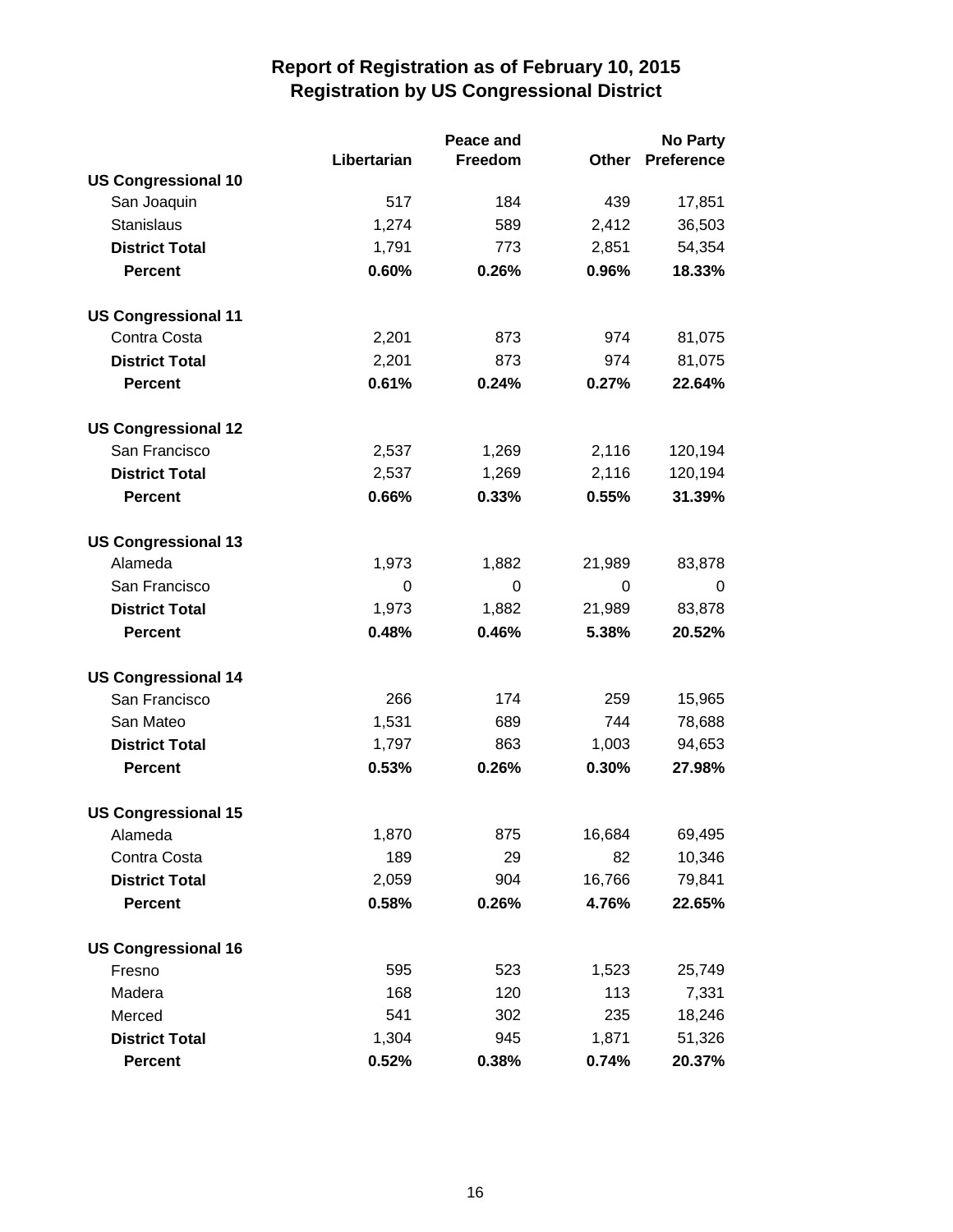|                            |             | Peace and | <b>No Party</b> |                   |
|----------------------------|-------------|-----------|-----------------|-------------------|
|                            | Libertarian | Freedom   | Other           | <b>Preference</b> |
| <b>US Congressional 10</b> |             |           |                 |                   |
| San Joaquin                | 517         | 184       | 439             | 17,851            |
| Stanislaus                 | 1,274       | 589       | 2,412           | 36,503            |
| <b>District Total</b>      | 1,791       | 773       | 2,851           | 54,354            |
| <b>Percent</b>             | 0.60%       | 0.26%     | 0.96%           | 18.33%            |
| <b>US Congressional 11</b> |             |           |                 |                   |
| Contra Costa               | 2,201       | 873       | 974             | 81,075            |
| <b>District Total</b>      | 2,201       | 873       | 974             | 81,075            |
| <b>Percent</b>             | 0.61%       | 0.24%     | 0.27%           | 22.64%            |
| <b>US Congressional 12</b> |             |           |                 |                   |
| San Francisco              | 2,537       | 1,269     | 2,116           | 120,194           |
| <b>District Total</b>      | 2,537       | 1,269     | 2,116           | 120,194           |
| <b>Percent</b>             | 0.66%       | 0.33%     | 0.55%           | 31.39%            |
| <b>US Congressional 13</b> |             |           |                 |                   |
| Alameda                    | 1,973       | 1,882     | 21,989          | 83,878            |
| San Francisco              | 0           | 0         | 0               | 0                 |
| <b>District Total</b>      | 1,973       | 1,882     | 21,989          | 83,878            |
| <b>Percent</b>             | 0.48%       | 0.46%     | 5.38%           | 20.52%            |
| <b>US Congressional 14</b> |             |           |                 |                   |
| San Francisco              | 266         | 174       | 259             | 15,965            |
| San Mateo                  | 1,531       | 689       | 744             | 78,688            |
| <b>District Total</b>      | 1,797       | 863       | 1,003           | 94,653            |
| <b>Percent</b>             | 0.53%       | 0.26%     | 0.30%           | 27.98%            |
| <b>US Congressional 15</b> |             |           |                 |                   |
| Alameda                    | 1,870       | 875       | 16,684          | 69,495            |
| Contra Costa               | 189         | 29        | 82              | 10,346            |
| <b>District Total</b>      | 2,059       | 904       | 16,766          | 79,841            |
| <b>Percent</b>             | 0.58%       | 0.26%     | 4.76%           | 22.65%            |
| <b>US Congressional 16</b> |             |           |                 |                   |
| Fresno                     | 595         | 523       | 1,523           | 25,749            |
| Madera                     | 168         | 120       | 113             | 7,331             |
| Merced                     | 541         | 302       | 235             | 18,246            |
| <b>District Total</b>      | 1,304       | 945       | 1,871           | 51,326            |
| <b>Percent</b>             | 0.52%       | 0.38%     | 0.74%           | 20.37%            |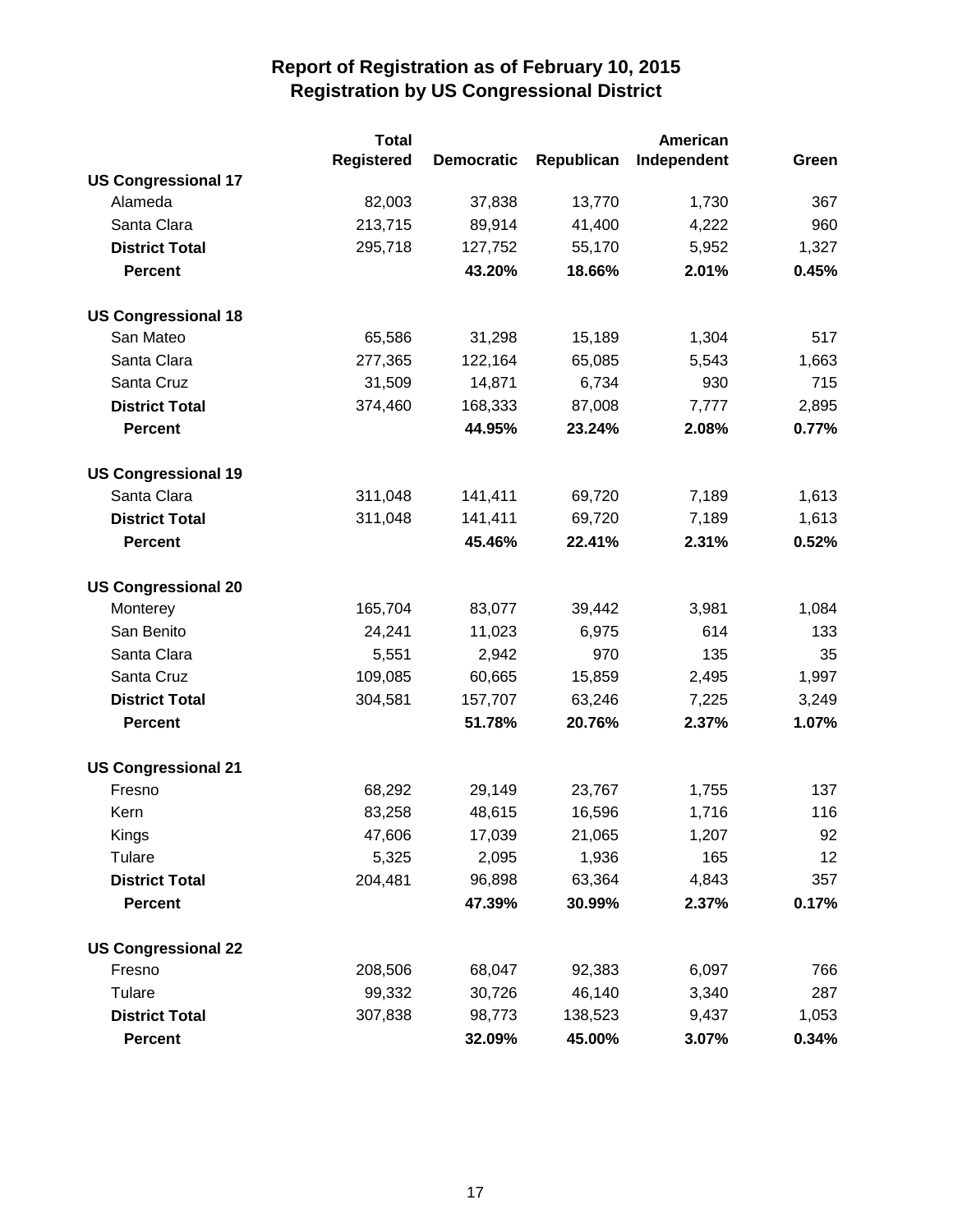|                            | <b>Total</b> |                   |            | American    |       |
|----------------------------|--------------|-------------------|------------|-------------|-------|
|                            | Registered   | <b>Democratic</b> | Republican | Independent | Green |
| <b>US Congressional 17</b> |              |                   |            |             |       |
| Alameda                    | 82,003       | 37,838            | 13,770     | 1,730       | 367   |
| Santa Clara                | 213,715      | 89,914            | 41,400     | 4,222       | 960   |
| <b>District Total</b>      | 295,718      | 127,752           | 55,170     | 5,952       | 1,327 |
| <b>Percent</b>             |              | 43.20%            | 18.66%     | 2.01%       | 0.45% |
| <b>US Congressional 18</b> |              |                   |            |             |       |
| San Mateo                  | 65,586       | 31,298            | 15,189     | 1,304       | 517   |
| Santa Clara                | 277,365      | 122,164           | 65,085     | 5,543       | 1,663 |
| Santa Cruz                 | 31,509       | 14,871            | 6,734      | 930         | 715   |
| <b>District Total</b>      | 374,460      | 168,333           | 87,008     | 7,777       | 2,895 |
| <b>Percent</b>             |              | 44.95%            | 23.24%     | 2.08%       | 0.77% |
| <b>US Congressional 19</b> |              |                   |            |             |       |
| Santa Clara                | 311,048      | 141,411           | 69,720     | 7,189       | 1,613 |
| <b>District Total</b>      | 311,048      | 141,411           | 69,720     | 7,189       | 1,613 |
| <b>Percent</b>             |              | 45.46%            | 22.41%     | 2.31%       | 0.52% |
| <b>US Congressional 20</b> |              |                   |            |             |       |
| Monterey                   | 165,704      | 83,077            | 39,442     | 3,981       | 1,084 |
| San Benito                 | 24,241       | 11,023            | 6,975      | 614         | 133   |
| Santa Clara                | 5,551        | 2,942             | 970        | 135         | 35    |
| Santa Cruz                 | 109,085      | 60,665            | 15,859     | 2,495       | 1,997 |
| <b>District Total</b>      | 304,581      | 157,707           | 63,246     | 7,225       | 3,249 |
| <b>Percent</b>             |              | 51.78%            | 20.76%     | 2.37%       | 1.07% |
| <b>US Congressional 21</b> |              |                   |            |             |       |
| Fresno                     | 68,292       | 29,149            | 23,767     | 1,755       | 137   |
| Kern                       | 83,258       | 48,615            | 16,596     | 1,716       | 116   |
| <b>Kings</b>               | 47,606       | 17,039            | 21,065     | 1,207       | 92    |
| Tulare                     | 5,325        | 2,095             | 1,936      | 165         | 12    |
| <b>District Total</b>      | 204,481      | 96,898            | 63,364     | 4,843       | 357   |
| <b>Percent</b>             |              | 47.39%            | 30.99%     | 2.37%       | 0.17% |
| <b>US Congressional 22</b> |              |                   |            |             |       |
| Fresno                     | 208,506      | 68,047            | 92,383     | 6,097       | 766   |
| Tulare                     | 99,332       | 30,726            | 46,140     | 3,340       | 287   |
| <b>District Total</b>      | 307,838      | 98,773            | 138,523    | 9,437       | 1,053 |
| <b>Percent</b>             |              | 32.09%            | 45.00%     | 3.07%       | 0.34% |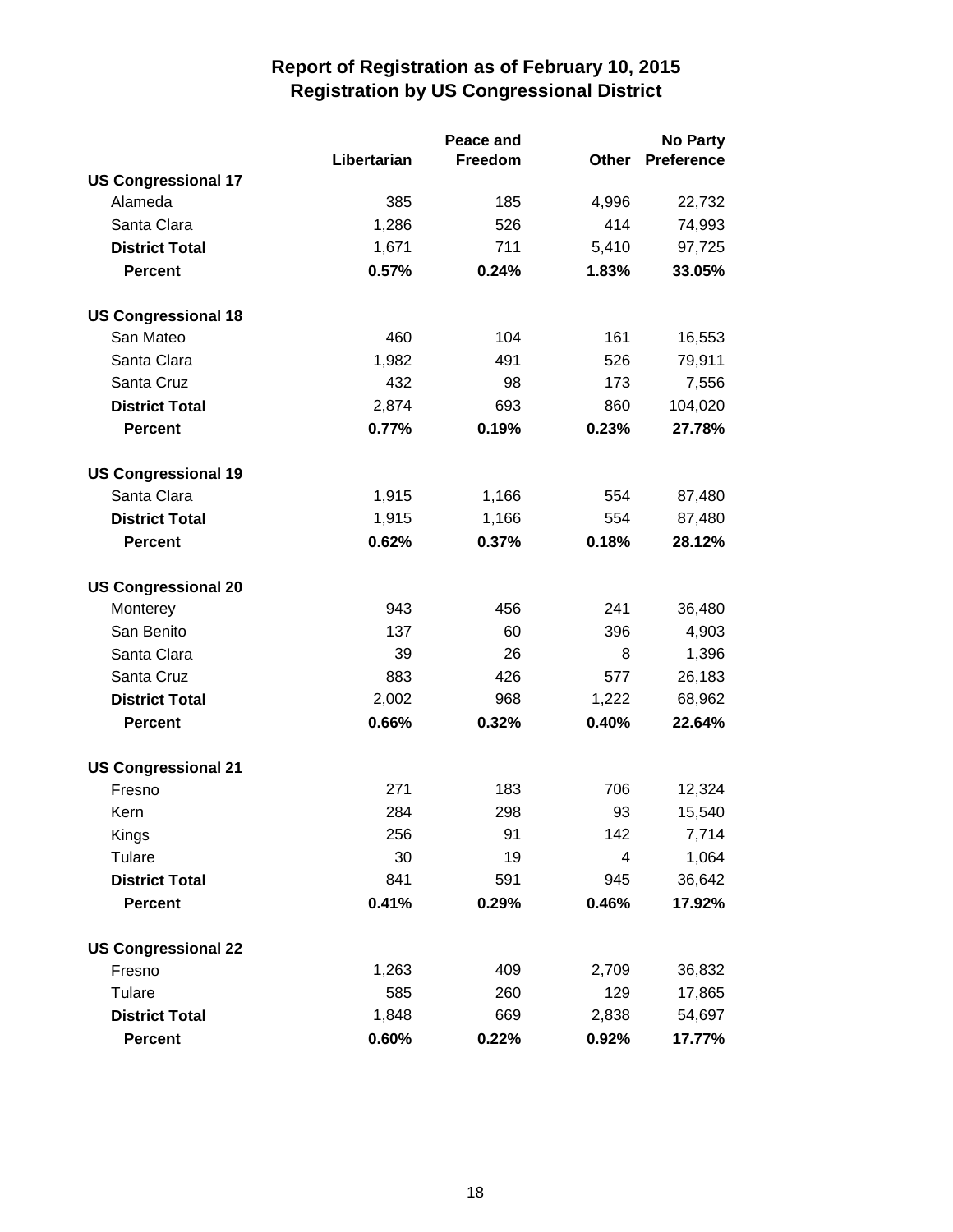|                            |             | Peace and | <b>No Party</b> |                   |
|----------------------------|-------------|-----------|-----------------|-------------------|
|                            | Libertarian | Freedom   | Other           | <b>Preference</b> |
| <b>US Congressional 17</b> |             |           |                 |                   |
| Alameda                    | 385         | 185       | 4,996           | 22,732            |
| Santa Clara                | 1,286       | 526       | 414             | 74,993            |
| <b>District Total</b>      | 1,671       | 711       | 5,410           | 97,725            |
| <b>Percent</b>             | 0.57%       | 0.24%     | 1.83%           | 33.05%            |
| <b>US Congressional 18</b> |             |           |                 |                   |
| San Mateo                  | 460         | 104       | 161             | 16,553            |
| Santa Clara                | 1,982       | 491       | 526             | 79,911            |
| Santa Cruz                 | 432         | 98        | 173             | 7,556             |
| <b>District Total</b>      | 2,874       | 693       | 860             | 104,020           |
| <b>Percent</b>             | 0.77%       | 0.19%     | 0.23%           | 27.78%            |
| <b>US Congressional 19</b> |             |           |                 |                   |
| Santa Clara                | 1,915       | 1,166     | 554             | 87,480            |
| <b>District Total</b>      | 1,915       | 1,166     | 554             | 87,480            |
| <b>Percent</b>             | 0.62%       | 0.37%     | 0.18%           | 28.12%            |
| <b>US Congressional 20</b> |             |           |                 |                   |
| Monterey                   | 943         | 456       | 241             | 36,480            |
| San Benito                 | 137         | 60        | 396             | 4,903             |
| Santa Clara                | 39          | 26        | 8               | 1,396             |
| Santa Cruz                 | 883         | 426       | 577             | 26,183            |
| <b>District Total</b>      | 2,002       | 968       | 1,222           | 68,962            |
| <b>Percent</b>             | 0.66%       | 0.32%     | 0.40%           | 22.64%            |
| <b>US Congressional 21</b> |             |           |                 |                   |
| Fresno                     | 271         | 183       | 706             | 12,324            |
| Kern                       | 284         | 298       | 93              | 15,540            |
| Kings                      | 256         | 91        | 142             | 7,714             |
| Tulare                     | 30          | 19        | 4               | 1,064             |
| <b>District Total</b>      | 841         | 591       | 945             | 36,642            |
| <b>Percent</b>             | 0.41%       | 0.29%     | 0.46%           | 17.92%            |
| <b>US Congressional 22</b> |             |           |                 |                   |
| Fresno                     | 1,263       | 409       | 2,709           | 36,832            |
| Tulare                     | 585         | 260       | 129             | 17,865            |
| <b>District Total</b>      | 1,848       | 669       | 2,838           | 54,697            |
| <b>Percent</b>             | 0.60%       | 0.22%     | 0.92%           | 17.77%            |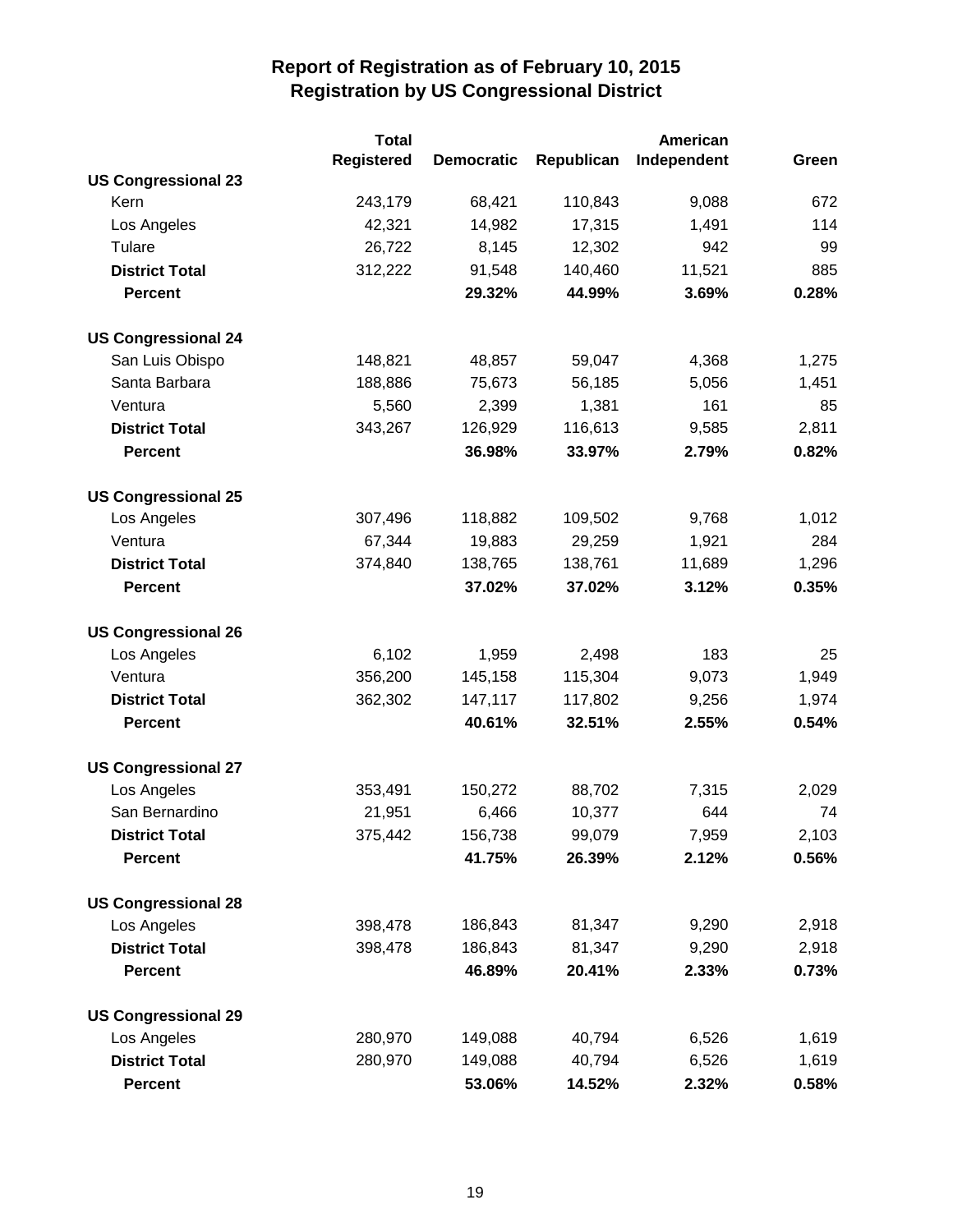|                            | <b>Total</b>      |                   |            | American    |       |
|----------------------------|-------------------|-------------------|------------|-------------|-------|
|                            | <b>Registered</b> | <b>Democratic</b> | Republican | Independent | Green |
| <b>US Congressional 23</b> |                   |                   |            |             |       |
| Kern                       | 243,179           | 68,421            | 110,843    | 9,088       | 672   |
| Los Angeles                | 42,321            | 14,982            | 17,315     | 1,491       | 114   |
| Tulare                     | 26,722            | 8,145             | 12,302     | 942         | 99    |
| <b>District Total</b>      | 312,222           | 91,548            | 140,460    | 11,521      | 885   |
| <b>Percent</b>             |                   | 29.32%            | 44.99%     | 3.69%       | 0.28% |
| <b>US Congressional 24</b> |                   |                   |            |             |       |
| San Luis Obispo            | 148,821           | 48,857            | 59,047     | 4,368       | 1,275 |
| Santa Barbara              | 188,886           | 75,673            | 56,185     | 5,056       | 1,451 |
| Ventura                    | 5,560             | 2,399             | 1,381      | 161         | 85    |
| <b>District Total</b>      | 343,267           | 126,929           | 116,613    | 9,585       | 2,811 |
| <b>Percent</b>             |                   | 36.98%            | 33.97%     | 2.79%       | 0.82% |
| <b>US Congressional 25</b> |                   |                   |            |             |       |
| Los Angeles                | 307,496           | 118,882           | 109,502    | 9,768       | 1,012 |
| Ventura                    | 67,344            | 19,883            | 29,259     | 1,921       | 284   |
| <b>District Total</b>      | 374,840           | 138,765           | 138,761    | 11,689      | 1,296 |
| <b>Percent</b>             |                   | 37.02%            | 37.02%     | 3.12%       | 0.35% |
| <b>US Congressional 26</b> |                   |                   |            |             |       |
| Los Angeles                | 6,102             | 1,959             | 2,498      | 183         | 25    |
| Ventura                    | 356,200           | 145,158           | 115,304    | 9,073       | 1,949 |
| <b>District Total</b>      | 362,302           | 147,117           | 117,802    | 9,256       | 1,974 |
| <b>Percent</b>             |                   | 40.61%            | 32.51%     | 2.55%       | 0.54% |
| <b>US Congressional 27</b> |                   |                   |            |             |       |
| Los Angeles                | 353,491           | 150,272           | 88,702     | 7,315       | 2,029 |
| San Bernardino             | 21,951            | 6,466             | 10,377     | 644         | 74    |
| <b>District Total</b>      | 375,442           | 156,738           | 99,079     | 7,959       | 2,103 |
| <b>Percent</b>             |                   | 41.75%            | 26.39%     | 2.12%       | 0.56% |
| <b>US Congressional 28</b> |                   |                   |            |             |       |
| Los Angeles                | 398,478           | 186,843           | 81,347     | 9,290       | 2,918 |
| <b>District Total</b>      | 398,478           | 186,843           | 81,347     | 9,290       | 2,918 |
| <b>Percent</b>             |                   | 46.89%            | 20.41%     | 2.33%       | 0.73% |
| <b>US Congressional 29</b> |                   |                   |            |             |       |
| Los Angeles                | 280,970           | 149,088           | 40,794     | 6,526       | 1,619 |
| <b>District Total</b>      | 280,970           | 149,088           | 40,794     | 6,526       | 1,619 |
| <b>Percent</b>             |                   | 53.06%            | 14.52%     | 2.32%       | 0.58% |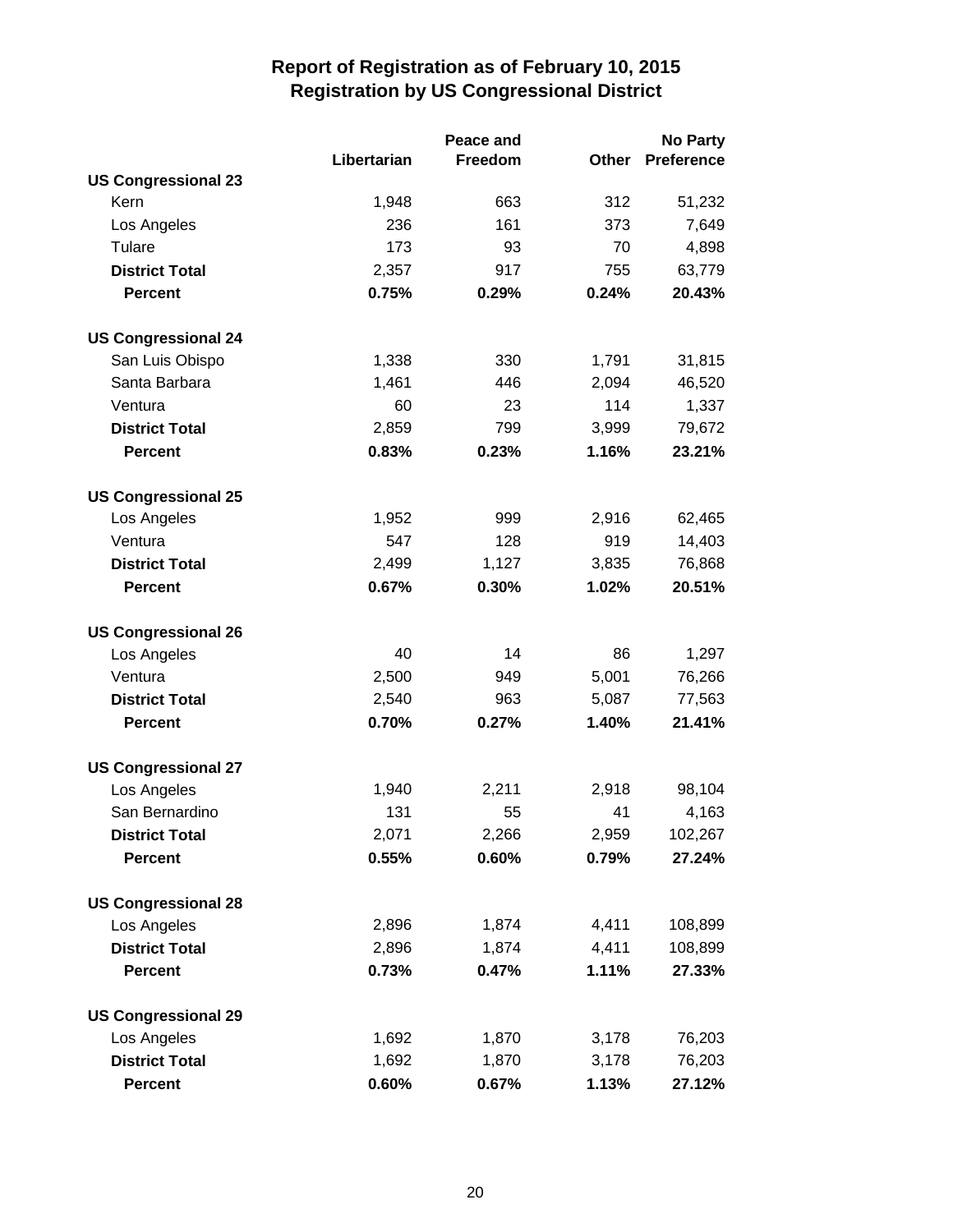|                            | Peace and   |         |              | <b>No Party</b>   |  |
|----------------------------|-------------|---------|--------------|-------------------|--|
|                            | Libertarian | Freedom | <b>Other</b> | <b>Preference</b> |  |
| <b>US Congressional 23</b> |             |         |              |                   |  |
| Kern                       | 1,948       | 663     | 312          | 51,232            |  |
| Los Angeles                | 236         | 161     | 373          | 7,649             |  |
| Tulare                     | 173         | 93      | 70           | 4,898             |  |
| <b>District Total</b>      | 2,357       | 917     | 755          | 63,779            |  |
| <b>Percent</b>             | 0.75%       | 0.29%   | 0.24%        | 20.43%            |  |
| <b>US Congressional 24</b> |             |         |              |                   |  |
| San Luis Obispo            | 1,338       | 330     | 1,791        | 31,815            |  |
| Santa Barbara              | 1,461       | 446     | 2,094        | 46,520            |  |
| Ventura                    | 60          | 23      | 114          | 1,337             |  |
| <b>District Total</b>      | 2,859       | 799     | 3,999        | 79,672            |  |
| <b>Percent</b>             | 0.83%       | 0.23%   | 1.16%        | 23.21%            |  |
| <b>US Congressional 25</b> |             |         |              |                   |  |
| Los Angeles                | 1,952       | 999     | 2,916        | 62,465            |  |
| Ventura                    | 547         | 128     | 919          | 14,403            |  |
| <b>District Total</b>      | 2,499       | 1,127   | 3,835        | 76,868            |  |
| <b>Percent</b>             | 0.67%       | 0.30%   | 1.02%        | 20.51%            |  |
| <b>US Congressional 26</b> |             |         |              |                   |  |
| Los Angeles                | 40          | 14      | 86           | 1,297             |  |
| Ventura                    | 2,500       | 949     | 5,001        | 76,266            |  |
| <b>District Total</b>      | 2,540       | 963     | 5,087        | 77,563            |  |
| <b>Percent</b>             | 0.70%       | 0.27%   | 1.40%        | 21.41%            |  |
| <b>US Congressional 27</b> |             |         |              |                   |  |
| Los Angeles                | 1,940       | 2,211   | 2,918        | 98,104            |  |
| San Bernardino             | 131         | 55      | 41           | 4,163             |  |
| <b>District Total</b>      | 2,071       | 2,266   | 2,959        | 102,267           |  |
| <b>Percent</b>             | 0.55%       | 0.60%   | 0.79%        | 27.24%            |  |
| <b>US Congressional 28</b> |             |         |              |                   |  |
| Los Angeles                | 2,896       | 1,874   | 4,411        | 108,899           |  |
| <b>District Total</b>      | 2,896       | 1,874   | 4,411        | 108,899           |  |
| <b>Percent</b>             | 0.73%       | 0.47%   | 1.11%        | 27.33%            |  |
| <b>US Congressional 29</b> |             |         |              |                   |  |
| Los Angeles                | 1,692       | 1,870   | 3,178        | 76,203            |  |
| <b>District Total</b>      | 1,692       | 1,870   | 3,178        | 76,203            |  |
| <b>Percent</b>             | 0.60%       | 0.67%   | 1.13%        | 27.12%            |  |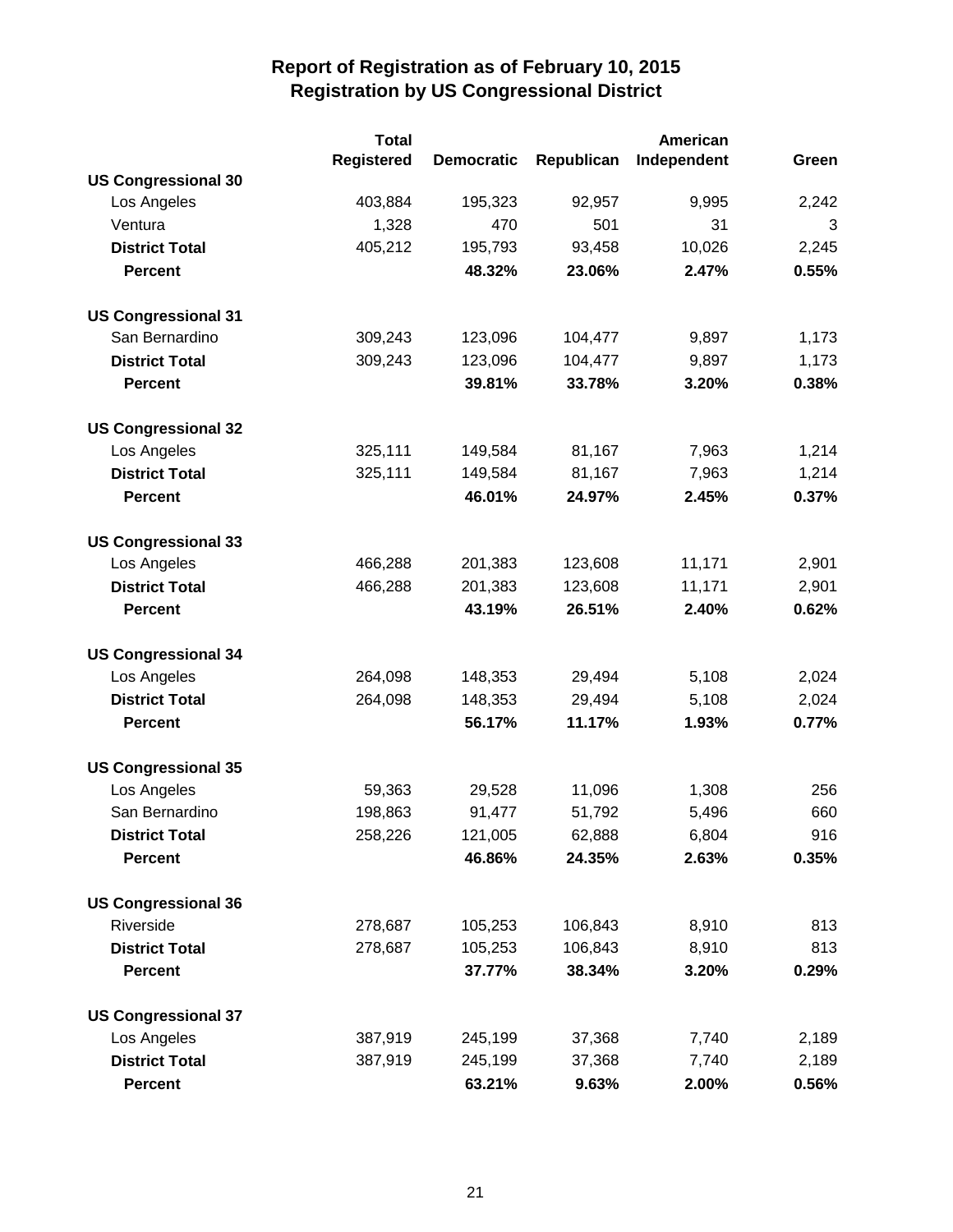|                            | <b>Total</b><br>American |                   |            |             |       |
|----------------------------|--------------------------|-------------------|------------|-------------|-------|
|                            | Registered               | <b>Democratic</b> | Republican | Independent | Green |
| <b>US Congressional 30</b> |                          |                   |            |             |       |
| Los Angeles                | 403,884                  | 195,323           | 92,957     | 9,995       | 2,242 |
| Ventura                    | 1,328                    | 470               | 501        | 31          | 3     |
| <b>District Total</b>      | 405,212                  | 195,793           | 93,458     | 10,026      | 2,245 |
| <b>Percent</b>             |                          | 48.32%            | 23.06%     | 2.47%       | 0.55% |
| <b>US Congressional 31</b> |                          |                   |            |             |       |
| San Bernardino             | 309,243                  | 123,096           | 104,477    | 9,897       | 1,173 |
| <b>District Total</b>      | 309,243                  | 123,096           | 104,477    | 9,897       | 1,173 |
| <b>Percent</b>             |                          | 39.81%            | 33.78%     | 3.20%       | 0.38% |
| <b>US Congressional 32</b> |                          |                   |            |             |       |
| Los Angeles                | 325,111                  | 149,584           | 81,167     | 7,963       | 1,214 |
| <b>District Total</b>      | 325,111                  | 149,584           | 81,167     | 7,963       | 1,214 |
| <b>Percent</b>             |                          | 46.01%            | 24.97%     | 2.45%       | 0.37% |
| <b>US Congressional 33</b> |                          |                   |            |             |       |
| Los Angeles                | 466,288                  | 201,383           | 123,608    | 11,171      | 2,901 |
| <b>District Total</b>      | 466,288                  | 201,383           | 123,608    | 11,171      | 2,901 |
| <b>Percent</b>             |                          | 43.19%            | 26.51%     | 2.40%       | 0.62% |
| <b>US Congressional 34</b> |                          |                   |            |             |       |
| Los Angeles                | 264,098                  | 148,353           | 29,494     | 5,108       | 2,024 |
| <b>District Total</b>      | 264,098                  | 148,353           | 29,494     | 5,108       | 2,024 |
| <b>Percent</b>             |                          | 56.17%            | 11.17%     | 1.93%       | 0.77% |
| <b>US Congressional 35</b> |                          |                   |            |             |       |
| Los Angeles                | 59,363                   | 29,528            | 11,096     | 1,308       | 256   |
| San Bernardino             | 198,863                  | 91,477            | 51,792     | 5,496       | 660   |
| <b>District Total</b>      | 258,226                  | 121,005           | 62,888     | 6,804       | 916   |
| <b>Percent</b>             |                          | 46.86%            | 24.35%     | 2.63%       | 0.35% |
| <b>US Congressional 36</b> |                          |                   |            |             |       |
| Riverside                  | 278,687                  | 105,253           | 106,843    | 8,910       | 813   |
| <b>District Total</b>      | 278,687                  | 105,253           | 106,843    | 8,910       | 813   |
| <b>Percent</b>             |                          | 37.77%            | 38.34%     | 3.20%       | 0.29% |
| <b>US Congressional 37</b> |                          |                   |            |             |       |
| Los Angeles                | 387,919                  | 245,199           | 37,368     | 7,740       | 2,189 |
| <b>District Total</b>      | 387,919                  | 245,199           | 37,368     | 7,740       | 2,189 |
| <b>Percent</b>             |                          | 63.21%            | 9.63%      | 2.00%       | 0.56% |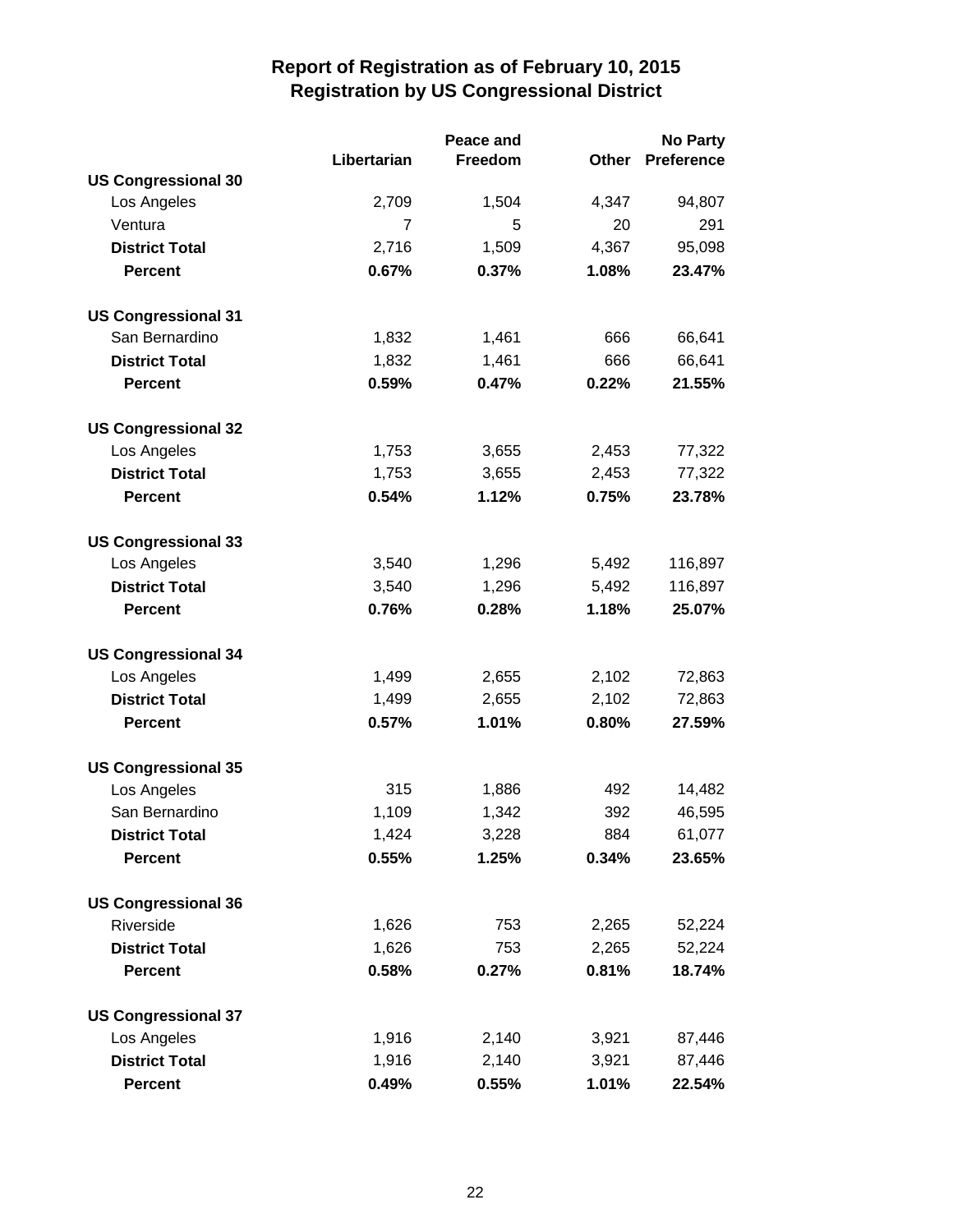|                            |                | Peace and | <b>No Party</b> |                   |  |
|----------------------------|----------------|-----------|-----------------|-------------------|--|
|                            | Libertarian    | Freedom   | <b>Other</b>    | <b>Preference</b> |  |
| <b>US Congressional 30</b> |                |           |                 |                   |  |
| Los Angeles                | 2,709          | 1,504     | 4,347           | 94,807            |  |
| Ventura                    | $\overline{7}$ | 5         | 20              | 291               |  |
| <b>District Total</b>      | 2,716          | 1,509     | 4,367           | 95,098            |  |
| <b>Percent</b>             | 0.67%          | 0.37%     | 1.08%           | 23.47%            |  |
| <b>US Congressional 31</b> |                |           |                 |                   |  |
| San Bernardino             | 1,832          | 1,461     | 666             | 66,641            |  |
| <b>District Total</b>      | 1,832          | 1,461     | 666             | 66,641            |  |
| <b>Percent</b>             | 0.59%          | 0.47%     | 0.22%           | 21.55%            |  |
| <b>US Congressional 32</b> |                |           |                 |                   |  |
| Los Angeles                | 1,753          | 3,655     | 2,453           | 77,322            |  |
| <b>District Total</b>      | 1,753          | 3,655     | 2,453           | 77,322            |  |
| <b>Percent</b>             | 0.54%          | 1.12%     | 0.75%           | 23.78%            |  |
| <b>US Congressional 33</b> |                |           |                 |                   |  |
| Los Angeles                | 3,540          | 1,296     | 5,492           | 116,897           |  |
| <b>District Total</b>      | 3,540          | 1,296     | 5,492           | 116,897           |  |
| <b>Percent</b>             | 0.76%          | 0.28%     | 1.18%           | 25.07%            |  |
| <b>US Congressional 34</b> |                |           |                 |                   |  |
| Los Angeles                | 1,499          | 2,655     | 2,102           | 72,863            |  |
| <b>District Total</b>      | 1,499          | 2,655     | 2,102           | 72,863            |  |
| <b>Percent</b>             | 0.57%          | 1.01%     | 0.80%           | 27.59%            |  |
| <b>US Congressional 35</b> |                |           |                 |                   |  |
| Los Angeles                | 315            | 1,886     | 492             | 14,482            |  |
| San Bernardino             | 1,109          | 1,342     | 392             | 46,595            |  |
| <b>District Total</b>      | 1,424          | 3,228     | 884             | 61,077            |  |
| <b>Percent</b>             | 0.55%          | 1.25%     | 0.34%           | 23.65%            |  |
| <b>US Congressional 36</b> |                |           |                 |                   |  |
| Riverside                  | 1,626          | 753       | 2,265           | 52,224            |  |
| <b>District Total</b>      | 1,626          | 753       | 2,265           | 52,224            |  |
| <b>Percent</b>             | 0.58%          | 0.27%     | 0.81%           | 18.74%            |  |
| <b>US Congressional 37</b> |                |           |                 |                   |  |
| Los Angeles                | 1,916          | 2,140     | 3,921           | 87,446            |  |
| <b>District Total</b>      | 1,916          | 2,140     | 3,921           | 87,446            |  |
| <b>Percent</b>             | 0.49%          | 0.55%     | 1.01%           | 22.54%            |  |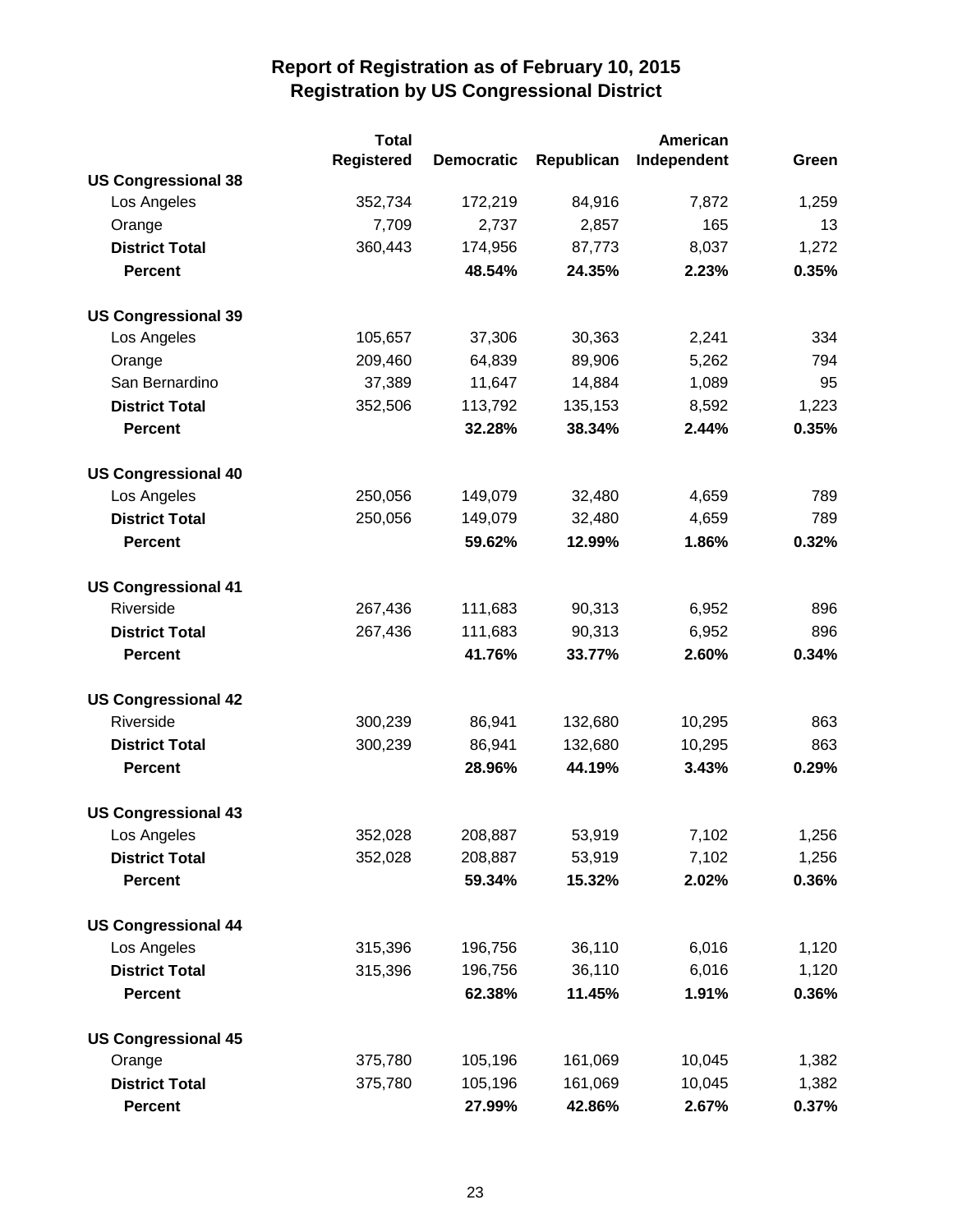|                            | <b>Total</b>      |                   |            | <b>American</b> |       |
|----------------------------|-------------------|-------------------|------------|-----------------|-------|
|                            | <b>Registered</b> | <b>Democratic</b> | Republican | Independent     | Green |
| <b>US Congressional 38</b> |                   |                   |            |                 |       |
| Los Angeles                | 352,734           | 172,219           | 84,916     | 7,872           | 1,259 |
| Orange                     | 7,709             | 2,737             | 2,857      | 165             | 13    |
| <b>District Total</b>      | 360,443           | 174,956           | 87,773     | 8,037           | 1,272 |
| <b>Percent</b>             |                   | 48.54%            | 24.35%     | 2.23%           | 0.35% |
| <b>US Congressional 39</b> |                   |                   |            |                 |       |
| Los Angeles                | 105,657           | 37,306            | 30,363     | 2,241           | 334   |
| Orange                     | 209,460           | 64,839            | 89,906     | 5,262           | 794   |
| San Bernardino             | 37,389            | 11,647            | 14,884     | 1,089           | 95    |
| <b>District Total</b>      | 352,506           | 113,792           | 135,153    | 8,592           | 1,223 |
| <b>Percent</b>             |                   | 32.28%            | 38.34%     | 2.44%           | 0.35% |
| <b>US Congressional 40</b> |                   |                   |            |                 |       |
| Los Angeles                | 250,056           | 149,079           | 32,480     | 4,659           | 789   |
| <b>District Total</b>      | 250,056           | 149,079           | 32,480     | 4,659           | 789   |
| <b>Percent</b>             |                   | 59.62%            | 12.99%     | 1.86%           | 0.32% |
| <b>US Congressional 41</b> |                   |                   |            |                 |       |
| Riverside                  | 267,436           | 111,683           | 90,313     | 6,952           | 896   |
| <b>District Total</b>      | 267,436           | 111,683           | 90,313     | 6,952           | 896   |
| <b>Percent</b>             |                   | 41.76%            | 33.77%     | 2.60%           | 0.34% |
| <b>US Congressional 42</b> |                   |                   |            |                 |       |
| Riverside                  | 300,239           | 86,941            | 132,680    | 10,295          | 863   |
| <b>District Total</b>      | 300,239           | 86,941            | 132,680    | 10,295          | 863   |
| <b>Percent</b>             |                   | 28.96%            | 44.19%     | 3.43%           | 0.29% |
| <b>US Congressional 43</b> |                   |                   |            |                 |       |
| Los Angeles                | 352,028           | 208,887           | 53,919     | 7,102           | 1,256 |
| <b>District Total</b>      | 352,028           | 208,887           | 53,919     | 7,102           | 1,256 |
| <b>Percent</b>             |                   | 59.34%            | 15.32%     | 2.02%           | 0.36% |
| <b>US Congressional 44</b> |                   |                   |            |                 |       |
| Los Angeles                | 315,396           | 196,756           | 36,110     | 6,016           | 1,120 |
| <b>District Total</b>      | 315,396           | 196,756           | 36,110     | 6,016           | 1,120 |
| <b>Percent</b>             |                   | 62.38%            | 11.45%     | 1.91%           | 0.36% |
| <b>US Congressional 45</b> |                   |                   |            |                 |       |
| Orange                     | 375,780           | 105,196           | 161,069    | 10,045          | 1,382 |
| <b>District Total</b>      | 375,780           | 105,196           | 161,069    | 10,045          | 1,382 |
| <b>Percent</b>             |                   | 27.99%            | 42.86%     | 2.67%           | 0.37% |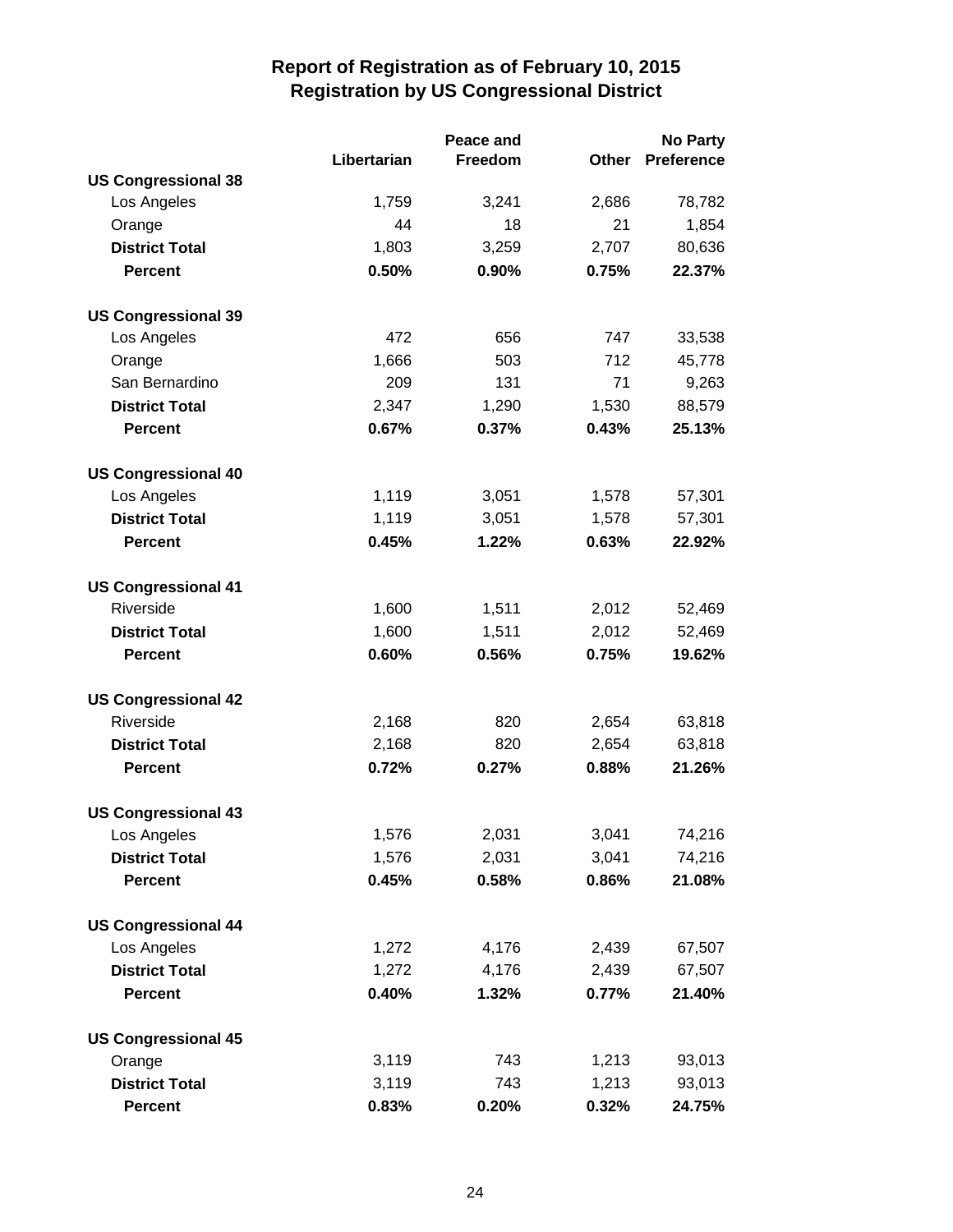|                            | Peace and   |         | <b>No Party</b> |                   |  |
|----------------------------|-------------|---------|-----------------|-------------------|--|
|                            | Libertarian | Freedom | Other           | <b>Preference</b> |  |
| <b>US Congressional 38</b> |             |         |                 |                   |  |
| Los Angeles                | 1,759       | 3,241   | 2,686           | 78,782            |  |
| Orange                     | 44          | 18      | 21              | 1,854             |  |
| <b>District Total</b>      | 1,803       | 3,259   | 2,707           | 80,636            |  |
| <b>Percent</b>             | 0.50%       | 0.90%   | 0.75%           | 22.37%            |  |
| <b>US Congressional 39</b> |             |         |                 |                   |  |
| Los Angeles                | 472         | 656     | 747             | 33,538            |  |
| Orange                     | 1,666       | 503     | 712             | 45,778            |  |
| San Bernardino             | 209         | 131     | 71              | 9,263             |  |
| <b>District Total</b>      | 2,347       | 1,290   | 1,530           | 88,579            |  |
| <b>Percent</b>             | 0.67%       | 0.37%   | 0.43%           | 25.13%            |  |
| <b>US Congressional 40</b> |             |         |                 |                   |  |
| Los Angeles                | 1,119       | 3,051   | 1,578           | 57,301            |  |
| <b>District Total</b>      | 1,119       | 3,051   | 1,578           | 57,301            |  |
| <b>Percent</b>             | 0.45%       | 1.22%   | 0.63%           | 22.92%            |  |
| <b>US Congressional 41</b> |             |         |                 |                   |  |
| Riverside                  | 1,600       | 1,511   | 2,012           | 52,469            |  |
| <b>District Total</b>      | 1,600       | 1,511   | 2,012           | 52,469            |  |
| <b>Percent</b>             | 0.60%       | 0.56%   | 0.75%           | 19.62%            |  |
| <b>US Congressional 42</b> |             |         |                 |                   |  |
| Riverside                  | 2,168       | 820     | 2,654           | 63,818            |  |
| <b>District Total</b>      | 2,168       | 820     | 2,654           | 63,818            |  |
| <b>Percent</b>             | 0.72%       | 0.27%   | 0.88%           | 21.26%            |  |
| <b>US Congressional 43</b> |             |         |                 |                   |  |
| Los Angeles                | 1,576       | 2,031   | 3,041           | 74,216            |  |
| <b>District Total</b>      | 1,576       | 2,031   | 3,041           | 74,216            |  |
| <b>Percent</b>             | 0.45%       | 0.58%   | 0.86%           | 21.08%            |  |
| <b>US Congressional 44</b> |             |         |                 |                   |  |
| Los Angeles                | 1,272       | 4,176   | 2,439           | 67,507            |  |
| <b>District Total</b>      | 1,272       | 4,176   | 2,439           | 67,507            |  |
| <b>Percent</b>             | 0.40%       | 1.32%   | 0.77%           | 21.40%            |  |
| <b>US Congressional 45</b> |             |         |                 |                   |  |
| Orange                     | 3,119       | 743     | 1,213           | 93,013            |  |
| <b>District Total</b>      | 3,119       | 743     | 1,213           | 93,013            |  |
| Percent                    | 0.83%       | 0.20%   | 0.32%           | 24.75%            |  |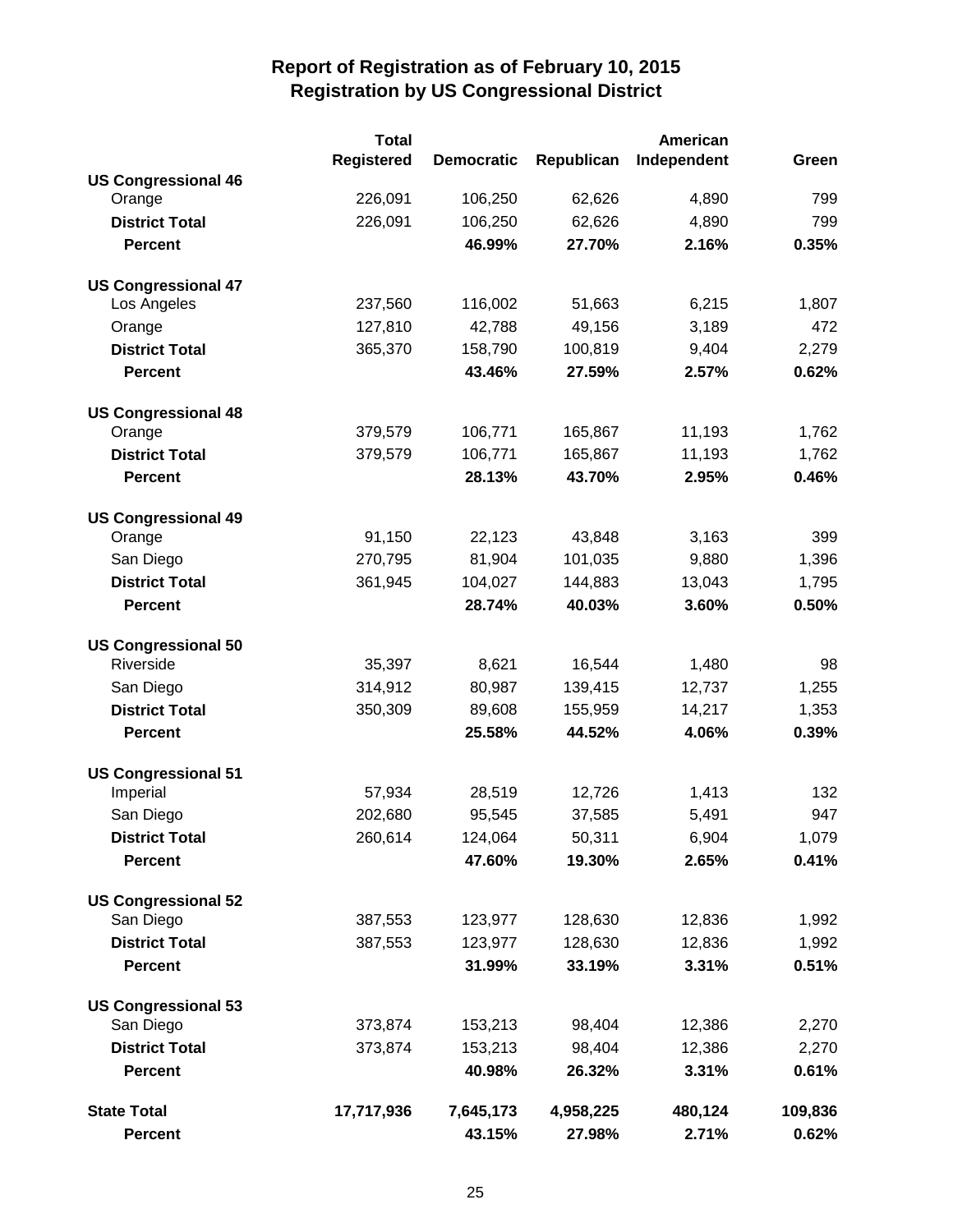|                            | <b>Total</b>      |                   |            | American    |         |
|----------------------------|-------------------|-------------------|------------|-------------|---------|
|                            | <b>Registered</b> | <b>Democratic</b> | Republican | Independent | Green   |
| <b>US Congressional 46</b> |                   |                   |            |             |         |
| Orange                     | 226,091           | 106,250           | 62,626     | 4,890       | 799     |
| <b>District Total</b>      | 226,091           | 106,250           | 62,626     | 4,890       | 799     |
| <b>Percent</b>             |                   | 46.99%            | 27.70%     | 2.16%       | 0.35%   |
| <b>US Congressional 47</b> |                   |                   |            |             |         |
| Los Angeles                | 237,560           | 116,002           | 51,663     | 6,215       | 1,807   |
| Orange                     | 127,810           | 42,788            | 49,156     | 3,189       | 472     |
| <b>District Total</b>      | 365,370           | 158,790           | 100,819    | 9,404       | 2,279   |
| <b>Percent</b>             |                   | 43.46%            | 27.59%     | 2.57%       | 0.62%   |
| <b>US Congressional 48</b> |                   |                   |            |             |         |
| Orange                     | 379,579           | 106,771           | 165,867    | 11,193      | 1,762   |
| <b>District Total</b>      | 379,579           | 106,771           | 165,867    | 11,193      | 1,762   |
| <b>Percent</b>             |                   | 28.13%            | 43.70%     | 2.95%       | 0.46%   |
| <b>US Congressional 49</b> |                   |                   |            |             |         |
| Orange                     | 91,150            | 22,123            | 43,848     | 3,163       | 399     |
| San Diego                  | 270,795           | 81,904            | 101,035    | 9,880       | 1,396   |
| <b>District Total</b>      | 361,945           | 104,027           | 144,883    | 13,043      | 1,795   |
| <b>Percent</b>             |                   | 28.74%            | 40.03%     | 3.60%       | 0.50%   |
| <b>US Congressional 50</b> |                   |                   |            |             |         |
| Riverside                  | 35,397            | 8,621             | 16,544     | 1,480       | 98      |
| San Diego                  | 314,912           | 80,987            | 139,415    | 12,737      | 1,255   |
| <b>District Total</b>      | 350,309           | 89,608            | 155,959    | 14,217      | 1,353   |
| <b>Percent</b>             |                   | 25.58%            | 44.52%     | 4.06%       | 0.39%   |
| <b>US Congressional 51</b> |                   |                   |            |             |         |
| Imperial                   | 57,934            | 28,519            | 12,726     | 1,413       | 132     |
| San Diego                  | 202,680           | 95,545            | 37,585     | 5,491       | 947     |
| <b>District Total</b>      | 260,614           | 124,064           | 50,311     | 6,904       | 1,079   |
| <b>Percent</b>             |                   | 47.60%            | 19.30%     | 2.65%       | 0.41%   |
| <b>US Congressional 52</b> |                   |                   |            |             |         |
| San Diego                  | 387,553           | 123,977           | 128,630    | 12,836      | 1,992   |
| <b>District Total</b>      | 387,553           | 123,977           | 128,630    | 12,836      | 1,992   |
| <b>Percent</b>             |                   | 31.99%            | 33.19%     | 3.31%       | 0.51%   |
| <b>US Congressional 53</b> |                   |                   |            |             |         |
| San Diego                  | 373,874           | 153,213           | 98,404     | 12,386      | 2,270   |
| <b>District Total</b>      | 373,874           | 153,213           | 98,404     | 12,386      | 2,270   |
| <b>Percent</b>             |                   | 40.98%            | 26.32%     | 3.31%       | 0.61%   |
| <b>State Total</b>         | 17,717,936        | 7,645,173         | 4,958,225  | 480,124     | 109,836 |
| <b>Percent</b>             |                   | 43.15%            | 27.98%     | 2.71%       | 0.62%   |